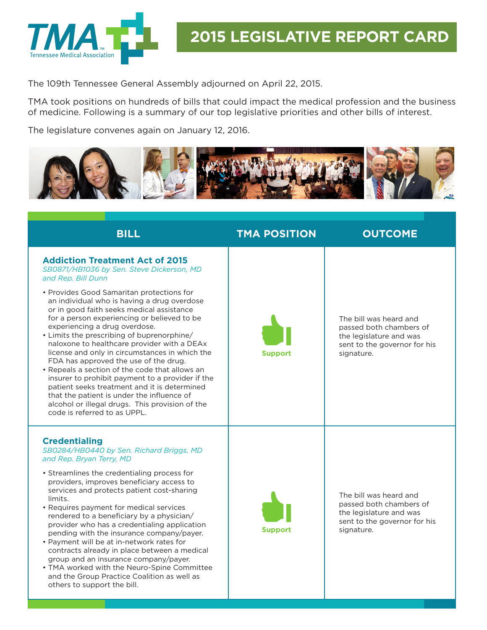

The 109th Tennessee General Assembly adjourned on April 22, 2015.

TMA took positions on hundreds of bills that could impact the medical profession and the business of medicine. Following is a summary of our top legislative priorities and other bills of interest.

The legislature convenes again on January 12, 2016.



**BILL TMA POSITION OUTCOME Addiction Treatment Act of 2015**  *SB0871/HB1036 by Sen. Steve Dickerson, MD and Rep. Bill Dunn* • Provides Good Samaritan protections for an individual who is having a drug overdose or in good faith seeks medical assistance for a person experiencing or believed to be experiencing a drug overdose. • Limits the prescribing of buprenorphine/ naloxone to healthcare provider with a DEAx license and only in circumstances in which the FDA has approved the use of the drug. • Repeals a section of the code that allows an insurer to prohibit payment to a provider if the patient seeks treatment and it is determined that the patient is under the influence of alcohol or illegal drugs. This provision of the code is referred to as UPPL. **Support** The bill was heard and passed both chambers of the legislature and was sent to the governor for his signature. **Credentialing**  *SB0284/HB0440 by Sen. Richard Briggs, MD and Rep. Bryan Terry, MD* • Streamlines the credentialing process for providers, improves beneficiary access to services and protects patient cost-sharing limits. • Requires payment for medical services rendered to a beneficiary by a physician/ provider who has a credentialing application pending with the insurance company/payer. • Payment will be at in-network rates for contracts already in place between a medical group and an insurance company/payer. • TMA worked with the Neuro-Spine Committee and the Group Practice Coalition as well as others to support the bill. **Support** The bill was heard and passed both chambers of the legislature and was sent to the governor for his signature.